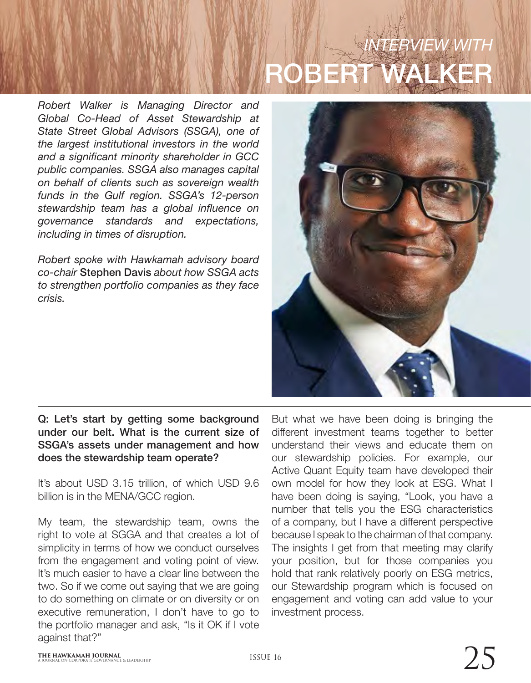# *INTERVIEW WITH* ROBERT WALKER

*Robert Walker is Managing Director and Global Co-Head of Asset Stewardship at State Street Global Advisors (SSGA), one of the largest institutional investors in the world and a significant minority shareholder in GCC public companies. SSGA also manages capital on behalf of clients such as sovereign wealth funds in the Gulf region. SSGA's 12-person stewardship team has a global influence on governance standards and expectations, including in times of disruption.*

*Robert spoke with Hawkamah advisory board co-chair* Stephen Davis *about how SSGA acts to strengthen portfolio companies as they face crisis.*



# Q: Let's start by getting some background under our belt. What is the current size of SSGA's assets under management and how does the stewardship team operate?

It's about USD 3.15 trillion, of which USD 9.6 billion is in the MENA/GCC region.

My team, the stewardship team, owns the right to vote at SGGA and that creates a lot of simplicity in terms of how we conduct ourselves from the engagement and voting point of view. It's much easier to have a clear line between the two. So if we come out saying that we are going to do something on climate or on diversity or on executive remuneration, I don't have to go to the portfolio manager and ask, "Is it OK if I vote against that?"

But what we have been doing is bringing the different investment teams together to better understand their views and educate them on our stewardship policies. For example, our Active Quant Equity team have developed their own model for how they look at ESG. What I have been doing is saying, "Look, you have a number that tells you the ESG characteristics of a company, but I have a different perspective because I speak to the chairman of that company. The insights I get from that meeting may clarify your position, but for those companies you hold that rank relatively poorly on ESG metrics, our Stewardship program which is focused on engagement and voting can add value to your investment process.

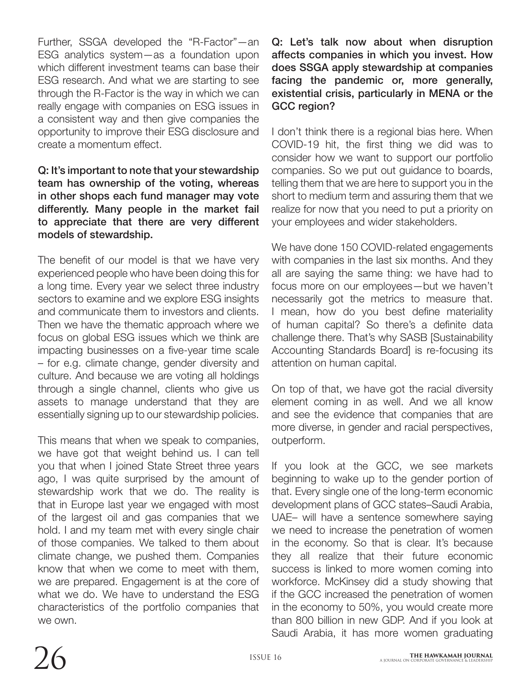Further, SSGA developed the "R-Factor"—an ESG analytics system—as a foundation upon which different investment teams can base their ESG research. And what we are starting to see through the R-Factor is the way in which we can really engage with companies on ESG issues in a consistent way and then give companies the opportunity to improve their ESG disclosure and create a momentum effect.

# Q: It's important to note that your stewardship team has ownership of the voting, whereas in other shops each fund manager may vote differently. Many people in the market fail to appreciate that there are very different models of stewardship.

The benefit of our model is that we have very experienced people who have been doing this for a long time. Every year we select three industry sectors to examine and we explore ESG insights and communicate them to investors and clients. Then we have the thematic approach where we focus on global ESG issues which we think are impacting businesses on a five-year time scale – for e.g. climate change, gender diversity and culture. And because we are voting all holdings through a single channel, clients who give us assets to manage understand that they are essentially signing up to our stewardship policies.

This means that when we speak to companies, we have got that weight behind us. I can tell you that when I joined State Street three years ago, I was quite surprised by the amount of stewardship work that we do. The reality is that in Europe last year we engaged with most of the largest oil and gas companies that we hold. I and my team met with every single chair of those companies. We talked to them about climate change, we pushed them. Companies know that when we come to meet with them, we are prepared. Engagement is at the core of what we do. We have to understand the ESG characteristics of the portfolio companies that we own.

Q: Let's talk now about when disruption affects companies in which you invest. How does SSGA apply stewardship at companies facing the pandemic or, more generally, existential crisis, particularly in MENA or the GCC region?

I don't think there is a regional bias here. When COVID-19 hit, the first thing we did was to consider how we want to support our portfolio companies. So we put out guidance to boards, telling them that we are here to support you in the short to medium term and assuring them that we realize for now that you need to put a priority on your employees and wider stakeholders.

We have done 150 COVID-related engagements with companies in the last six months. And they all are saying the same thing: we have had to focus more on our employees—but we haven't necessarily got the metrics to measure that. I mean, how do you best define materiality of human capital? So there's a definite data challenge there. That's why SASB [Sustainability Accounting Standards Board] is re-focusing its attention on human capital.

On top of that, we have got the racial diversity element coming in as well. And we all know and see the evidence that companies that are more diverse, in gender and racial perspectives, outperform.

If you look at the GCC, we see markets beginning to wake up to the gender portion of that. Every single one of the long-term economic development plans of GCC states–Saudi Arabia, UAE– will have a sentence somewhere saying we need to increase the penetration of women in the economy. So that is clear. It's because they all realize that their future economic success is linked to more women coming into workforce. McKinsey did a study showing that if the GCC increased the penetration of women in the economy to 50%, you would create more than 800 billion in new GDP. And if you look at Saudi Arabia, it has more women graduating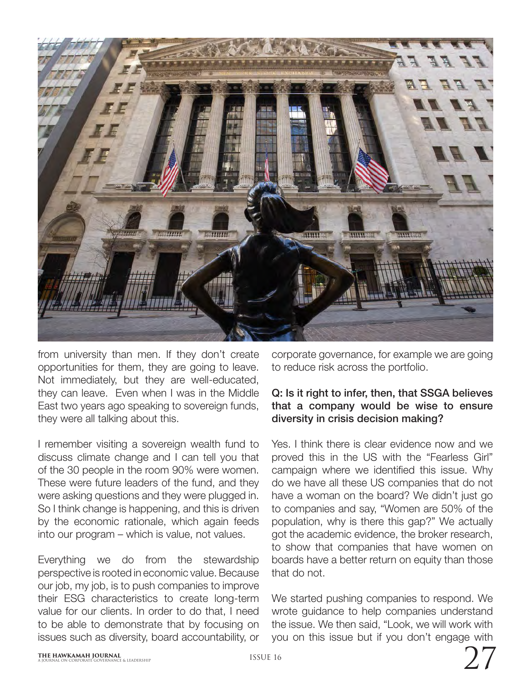

from university than men. If they don't create opportunities for them, they are going to leave. Not immediately, but they are well-educated, they can leave. Even when I was in the Middle East two years ago speaking to sovereign funds, they were all talking about this.

I remember visiting a sovereign wealth fund to discuss climate change and I can tell you that of the 30 people in the room 90% were women. These were future leaders of the fund, and they were asking questions and they were plugged in. So I think change is happening, and this is driven by the economic rationale, which again feeds into our program – which is value, not values.

Everything we do from the stewardship perspective is rooted in economic value. Because our job, my job, is to push companies to improve their ESG characteristics to create long-term value for our clients. In order to do that, I need to be able to demonstrate that by focusing on issues such as diversity, board accountability, or

corporate governance, for example we are going to reduce risk across the portfolio.

### Q: Is it right to infer, then, that SSGA believes that a company would be wise to ensure diversity in crisis decision making?

Yes. I think there is clear evidence now and we proved this in the US with the "Fearless Girl" campaign where we identified this issue. Why do we have all these US companies that do not have a woman on the board? We didn't just go to companies and say, "Women are 50% of the population, why is there this gap?" We actually got the academic evidence, the broker research, to show that companies that have women on boards have a better return on equity than those that do not.

We started pushing companies to respond. We wrote guidance to help companies understand the issue. We then said, "Look, we will work with you on this issue but if you don't engage with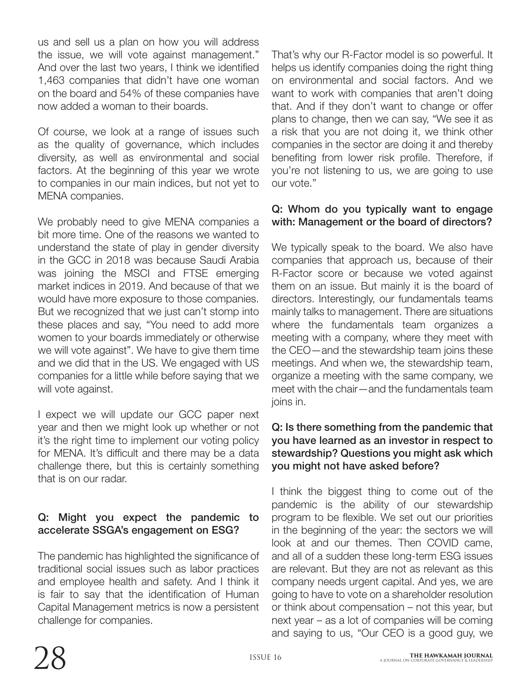us and sell us a plan on how you will address the issue, we will vote against management." And over the last two years, I think we identified 1,463 companies that didn't have one woman on the board and 54% of these companies have now added a woman to their boards.

Of course, we look at a range of issues such as the quality of governance, which includes diversity, as well as environmental and social factors. At the beginning of this year we wrote to companies in our main indices, but not yet to MENA companies.

We probably need to give MENA companies a bit more time. One of the reasons we wanted to understand the state of play in gender diversity in the GCC in 2018 was because Saudi Arabia was joining the MSCI and FTSE emerging market indices in 2019. And because of that we would have more exposure to those companies. But we recognized that we just can't stomp into these places and say, "You need to add more women to your boards immediately or otherwise we will vote against". We have to give them time and we did that in the US. We engaged with US companies for a little while before saying that we will vote against.

I expect we will update our GCC paper next year and then we might look up whether or not it's the right time to implement our voting policy for MENA. It's difficult and there may be a data challenge there, but this is certainly something that is on our radar.

# Q: Might you expect the pandemic to accelerate SSGA's engagement on ESG?

The pandemic has highlighted the significance of traditional social issues such as labor practices and employee health and safety. And I think it is fair to say that the identification of Human Capital Management metrics is now a persistent challenge for companies.

That's why our R-Factor model is so powerful. It helps us identify companies doing the right thing on environmental and social factors. And we want to work with companies that aren't doing that. And if they don't want to change or offer plans to change, then we can say, "We see it as a risk that you are not doing it, we think other companies in the sector are doing it and thereby benefiting from lower risk profile. Therefore, if you're not listening to us, we are going to use our vote."

# Q: Whom do you typically want to engage with: Management or the board of directors?

We typically speak to the board. We also have companies that approach us, because of their R-Factor score or because we voted against them on an issue. But mainly it is the board of directors. Interestingly, our fundamentals teams mainly talks to management. There are situations where the fundamentals team organizes a meeting with a company, where they meet with the CEO—and the stewardship team joins these meetings. And when we, the stewardship team, organize a meeting with the same company, we meet with the chair—and the fundamentals team joins in.

# Q: Is there something from the pandemic that you have learned as an investor in respect to stewardship? Questions you might ask which you might not have asked before?

I think the biggest thing to come out of the pandemic is the ability of our stewardship program to be flexible. We set out our priorities in the beginning of the year: the sectors we will look at and our themes. Then COVID came, and all of a sudden these long-term ESG issues are relevant. But they are not as relevant as this company needs urgent capital. And yes, we are going to have to vote on a shareholder resolution or think about compensation – not this year, but next year – as a lot of companies will be coming and saying to us, "Our CEO is a good guy, we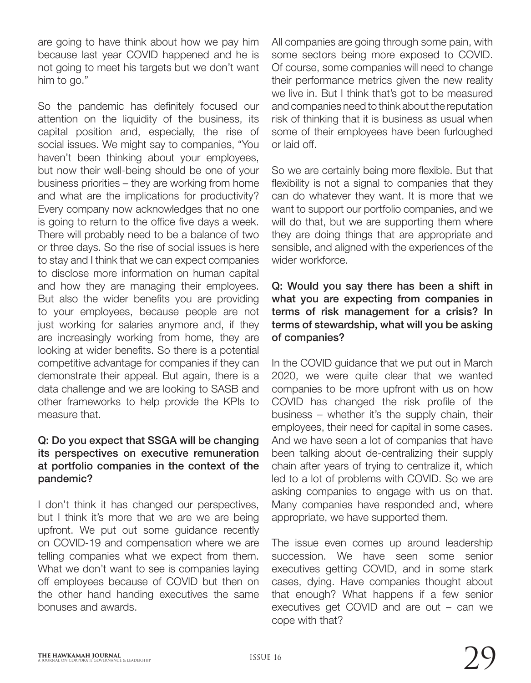are going to have think about how we pay him because last year COVID happened and he is not going to meet his targets but we don't want him to go."

So the pandemic has definitely focused our attention on the liquidity of the business, its capital position and, especially, the rise of social issues. We might say to companies, "You haven't been thinking about your employees, but now their well-being should be one of your business priorities – they are working from home and what are the implications for productivity? Every company now acknowledges that no one is going to return to the office five days a week. There will probably need to be a balance of two or three days. So the rise of social issues is here to stay and I think that we can expect companies to disclose more information on human capital and how they are managing their employees. But also the wider benefits you are providing to your employees, because people are not just working for salaries anymore and, if they are increasingly working from home, they are looking at wider benefits. So there is a potential competitive advantage for companies if they can demonstrate their appeal. But again, there is a data challenge and we are looking to SASB and other frameworks to help provide the KPIs to measure that.

#### Q: Do you expect that SSGA will be changing its perspectives on executive remuneration at portfolio companies in the context of the pandemic?

I don't think it has changed our perspectives, but I think it's more that we are we are being upfront. We put out some guidance recently on COVID-19 and compensation where we are telling companies what we expect from them. What we don't want to see is companies laying off employees because of COVID but then on the other hand handing executives the same bonuses and awards.

All companies are going through some pain, with some sectors being more exposed to COVID. Of course, some companies will need to change their performance metrics given the new reality we live in. But I think that's got to be measured and companies need to think about the reputation risk of thinking that it is business as usual when some of their employees have been furloughed or laid off.

So we are certainly being more flexible. But that flexibility is not a signal to companies that they can do whatever they want. It is more that we want to support our portfolio companies, and we will do that, but we are supporting them where they are doing things that are appropriate and sensible, and aligned with the experiences of the wider workforce.

# Q: Would you say there has been a shift in what you are expecting from companies in terms of risk management for a crisis? In terms of stewardship, what will you be asking of companies?

In the COVID guidance that we put out in March 2020, we were quite clear that we wanted companies to be more upfront with us on how COVID has changed the risk profile of the business – whether it's the supply chain, their employees, their need for capital in some cases. And we have seen a lot of companies that have been talking about de-centralizing their supply chain after years of trying to centralize it, which led to a lot of problems with COVID. So we are asking companies to engage with us on that. Many companies have responded and, where appropriate, we have supported them.

The issue even comes up around leadership succession. We have seen some senior executives getting COVID, and in some stark cases, dying. Have companies thought about that enough? What happens if a few senior executives get COVID and are out – can we cope with that?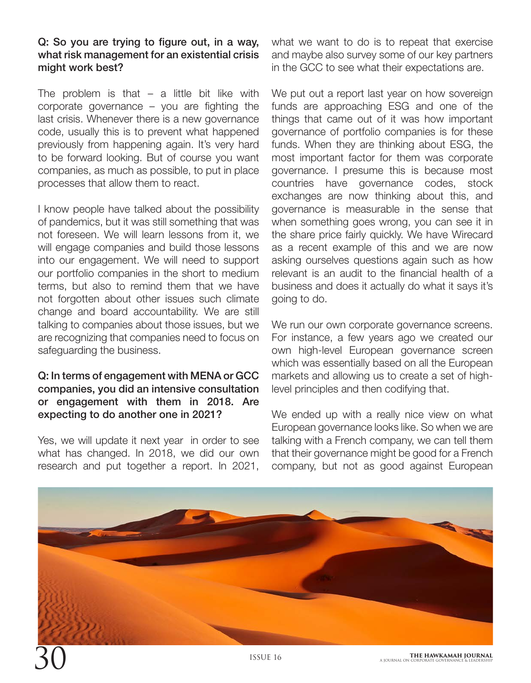#### Q: So you are trying to figure out, in a way, what risk management for an existential crisis might work best?

The problem is that  $-$  a little bit like with corporate governance – you are fighting the last crisis. Whenever there is a new governance code, usually this is to prevent what happened previously from happening again. It's very hard to be forward looking. But of course you want companies, as much as possible, to put in place processes that allow them to react.

I know people have talked about the possibility of pandemics, but it was still something that was not foreseen. We will learn lessons from it, we will engage companies and build those lessons into our engagement. We will need to support our portfolio companies in the short to medium terms, but also to remind them that we have not forgotten about other issues such climate change and board accountability. We are still talking to companies about those issues, but we are recognizing that companies need to focus on safeguarding the business.

### Q: In terms of engagement with MENA or GCC companies, you did an intensive consultation or engagement with them in 2018. Are expecting to do another one in 2021?

Yes, we will update it next year in order to see what has changed. In 2018, we did our own research and put together a report. In 2021, what we want to do is to repeat that exercise and maybe also survey some of our key partners in the GCC to see what their expectations are.

We put out a report last year on how sovereign funds are approaching ESG and one of the things that came out of it was how important governance of portfolio companies is for these funds. When they are thinking about ESG, the most important factor for them was corporate governance. I presume this is because most countries have governance codes, stock exchanges are now thinking about this, and governance is measurable in the sense that when something goes wrong, you can see it in the share price fairly quickly. We have Wirecard as a recent example of this and we are now asking ourselves questions again such as how relevant is an audit to the financial health of a business and does it actually do what it says it's going to do.

We run our own corporate governance screens. For instance, a few years ago we created our own high-level European governance screen which was essentially based on all the European markets and allowing us to create a set of highlevel principles and then codifying that.

We ended up with a really nice view on what European governance looks like. So when we are talking with a French company, we can tell them that their governance might be good for a French company, but not as good against European